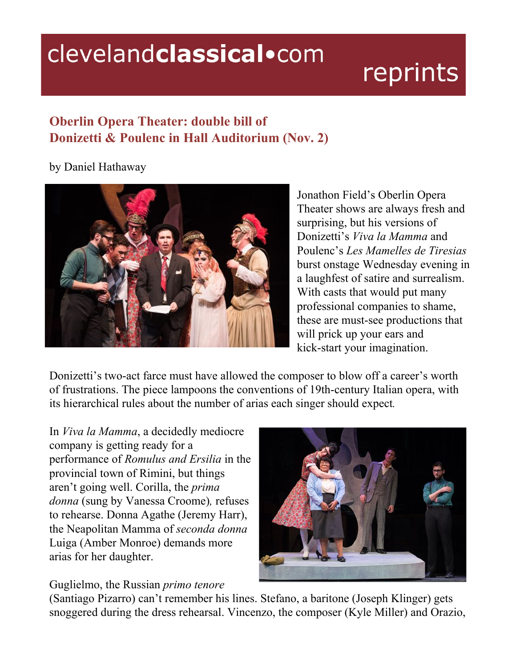## clevelandclassical.com

## reprints

## **Oberlin Opera Theater: double bill of Donizetti & Poulenc in Hall Auditorium (Nov. 2)**

by Daniel Hathaway



Jonathon Field's Oberlin Opera Theater shows are always fresh and surprising, but his versions of Donizetti's *Viva la Mamma* and Poulenc's *Les Mamelles de Tiresias* burst onstage Wednesday evening in a laughfest of satire and surrealism. With casts that would put many professional companies to shame, these are must-see productions that will prick up your ears and kick-start your imagination.

Donizetti's two-act farce must have allowed the composer to blow off a career's worth of frustrations. The piece lampoons the conventions of 19th-century Italian opera, with its hierarchical rules about the number of arias each singer should expect*.*

In *Viva la Mamma*, a decidedly mediocre company is getting ready for a performance of *Romulus and Ersilia* in the provincial town of Rimini, but things aren't going well. Corilla, the *prima donna* (sung by Vanessa Croome)*,* refuses to rehearse. Donna Agathe (Jeremy Harr), the Neapolitan Mamma of *seconda donna* Luiga (Amber Monroe) demands more arias for her daughter.



## Guglielmo, the Russian *primo tenore*

(Santiago Pizarro) can't remember his lines. Stefano, a baritone (Joseph Klinger) gets snoggered during the dress rehearsal. Vincenzo, the composer (Kyle Miller) and Orazio,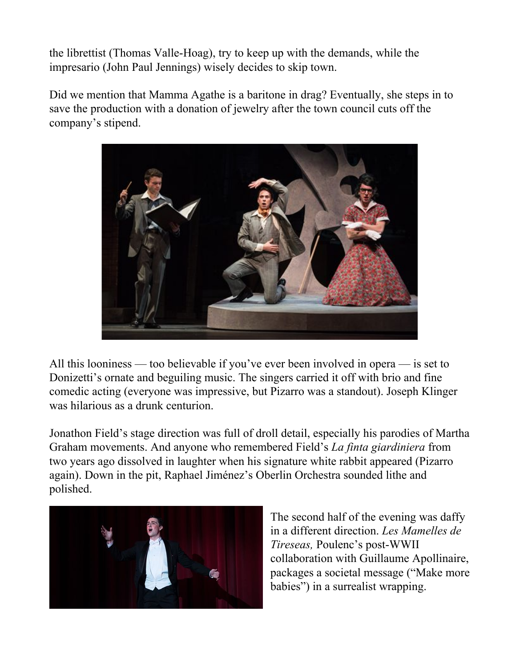the librettist (Thomas Valle-Hoag), try to keep up with the demands, while the impresario (John Paul Jennings) wisely decides to skip town.

Did we mention that Mamma Agathe is a baritone in drag? Eventually, she steps in to save the production with a donation of jewelry after the town council cuts off the company's stipend.



All this looniness — too believable if you've ever been involved in opera — is set to Donizetti's ornate and beguiling music. The singers carried it off with brio and fine comedic acting (everyone was impressive, but Pizarro was a standout). Joseph Klinger was hilarious as a drunk centurion.

Jonathon Field's stage direction was full of droll detail, especially his parodies of Martha Graham movements. And anyone who remembered Field's *La finta giardiniera* from two years ago dissolved in laughter when his signature white rabbit appeared (Pizarro again). Down in the pit, Raphael Jiménez's Oberlin Orchestra sounded lithe and polished.



The second half of the evening was daffy in a different direction. *Les Mamelles de Tireseas,* Poulenc's post-WWII collaboration with Guillaume Apollinaire, packages a societal message ("Make more babies") in a surrealist wrapping.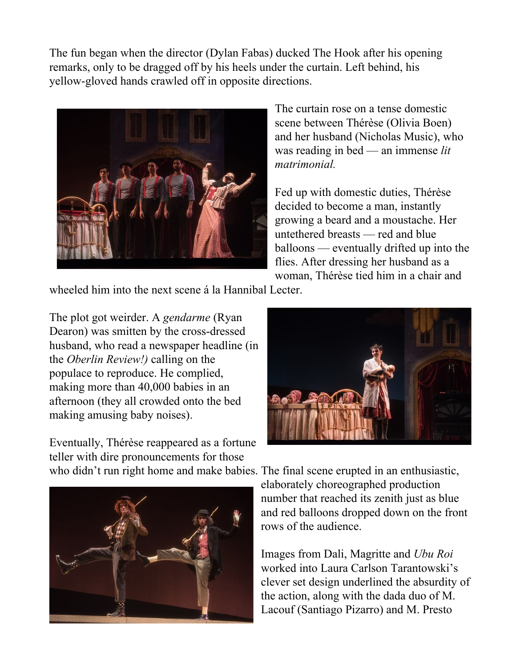The fun began when the director (Dylan Fabas) ducked The Hook after his opening remarks, only to be dragged off by his heels under the curtain. Left behind, his yellow-gloved hands crawled off in opposite directions.



The curtain rose on a tense domestic scene between Thérèse (Olivia Boen) and her husband (Nicholas Music), who was reading in bed — an immense *lit matrimonial.*

Fed up with domestic duties, Thérèse decided to become a man, instantly growing a beard and a moustache. Her untethered breasts — red and blue balloons — eventually drifted up into the flies. After dressing her husband as a woman, Thérèse tied him in a chair and

wheeled him into the next scene á la Hannibal Lecter.

The plot got weirder. A *gendarme* (Ryan Dearon) was smitten by the cross-dressed husband, who read a newspaper headline (in the *Oberlin Review!)* calling on the populace to reproduce. He complied, making more than 40,000 babies in an afternoon (they all crowded onto the bed making amusing baby noises).

Eventually, Thérèse reappeared as a fortune teller with dire pronouncements for those





who didn't run right home and make babies. The final scene erupted in an enthusiastic, elaborately choreographed production number that reached its zenith just as blue and red balloons dropped down on the front rows of the audience.

> Images from Dali, Magritte and *Ubu Roi* worked into Laura Carlson Tarantowski's clever set design underlined the absurdity of the action, along with the dada duo of M. Lacouf (Santiago Pizarro) and M. Presto